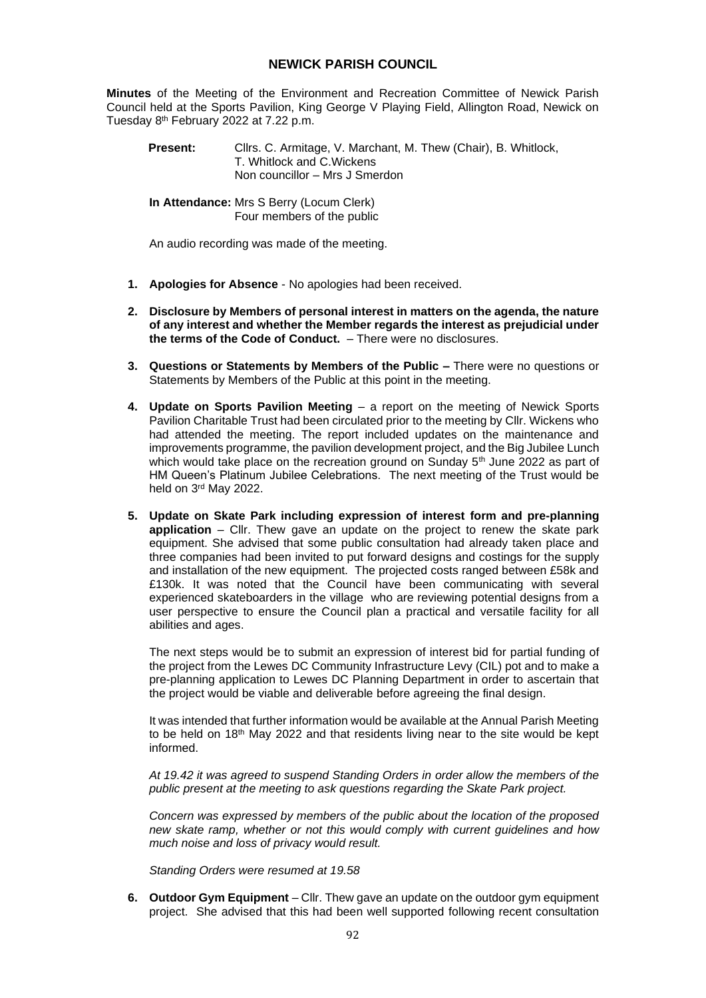## **NEWICK PARISH COUNCIL**

**Minutes** of the Meeting of the Environment and Recreation Committee of Newick Parish Council held at the Sports Pavilion, King George V Playing Field, Allington Road, Newick on Tuesday 8 th February 2022 at 7.22 p.m.

Present: Cllrs. C. Armitage, V. Marchant, M. Thew (Chair), B. Whitlock, T. Whitlock and C.Wickens Non councillor – Mrs J Smerdon

**In Attendance:** Mrs S Berry (Locum Clerk) Four members of the public

An audio recording was made of the meeting.

- **1. Apologies for Absence**  No apologies had been received.
- **2. Disclosure by Members of personal interest in matters on the agenda, the nature of any interest and whether the Member regards the interest as prejudicial under the terms of the Code of Conduct.** – There were no disclosures.
- **3. Questions or Statements by Members of the Public –** There were no questions or Statements by Members of the Public at this point in the meeting.
- **4. Update on Sports Pavilion Meeting** a report on the meeting of Newick Sports Pavilion Charitable Trust had been circulated prior to the meeting by Cllr. Wickens who had attended the meeting. The report included updates on the maintenance and improvements programme, the pavilion development project, and the Big Jubilee Lunch which would take place on the recreation ground on Sunday 5<sup>th</sup> June 2022 as part of HM Queen's Platinum Jubilee Celebrations. The next meeting of the Trust would be held on 3rd May 2022.
- **5. Update on Skate Park including expression of interest form and pre-planning application** – Cllr. Thew gave an update on the project to renew the skate park equipment. She advised that some public consultation had already taken place and three companies had been invited to put forward designs and costings for the supply and installation of the new equipment. The projected costs ranged between £58k and £130k. It was noted that the Council have been communicating with several experienced skateboarders in the village who are reviewing potential designs from a user perspective to ensure the Council plan a practical and versatile facility for all abilities and ages.

The next steps would be to submit an expression of interest bid for partial funding of the project from the Lewes DC Community Infrastructure Levy (CIL) pot and to make a pre-planning application to Lewes DC Planning Department in order to ascertain that the project would be viable and deliverable before agreeing the final design.

It was intended that further information would be available at the Annual Parish Meeting to be held on  $18<sup>th</sup>$  May 2022 and that residents living near to the site would be kept informed.

*At 19.42 it was agreed to suspend Standing Orders in order allow the members of the public present at the meeting to ask questions regarding the Skate Park project.*

*Concern was expressed by members of the public about the location of the proposed new skate ramp, whether or not this would comply with current guidelines and how much noise and loss of privacy would result.*

*Standing Orders were resumed at 19.58*

**6. Outdoor Gym Equipment** – Cllr. Thew gave an update on the outdoor gym equipment project. She advised that this had been well supported following recent consultation